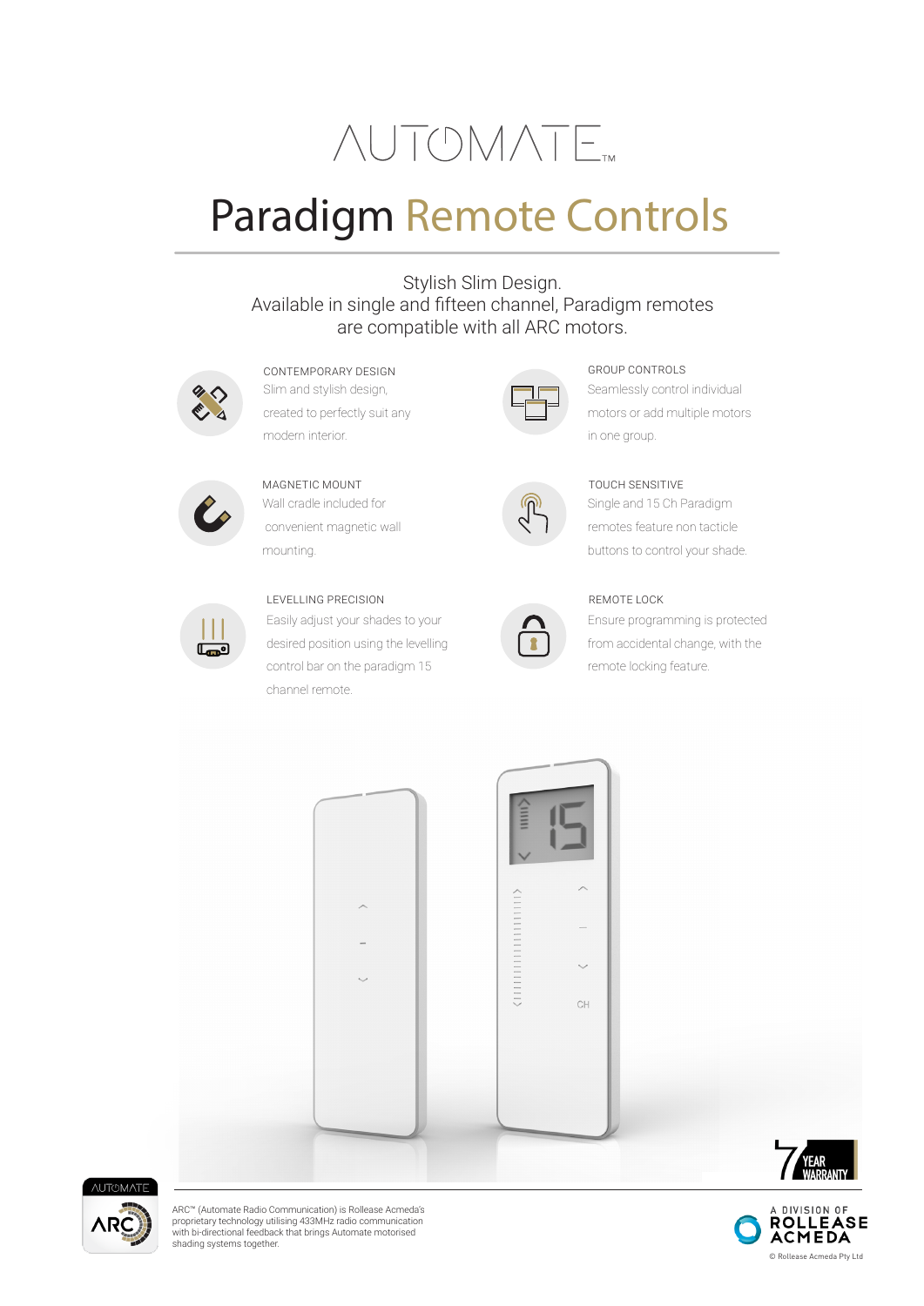# **NUTOMATE**

# Paradigm Remote Controls

# Stylish Slim Design. Available in single and fifteen channel, Paradigm remotes are compatible with all ARC motors.



Slim and stylish design, created to perfectly suit any modern interior. CONTEMPORARY DESIGN



Wall cradle included for convenient magnetic wall mounting. MAGNETIC MOUNT



# LEVELLING PRECISION

Easily adjust your shades to your desired position using the levelling control bar on the paradigm 15 channel remote.



## GROUP CONTROLS

Seamlessly control individual motors or add multiple motors in one group.



# TOUCH SENSITIVE

Single and 15 Ch Paradigm remotes feature non tacticle buttons to control your shade.



REMOTE LOCK Ensure programming is protected from accidental change, with the remote locking feature.





ARC™ (Automate Radio Communication) is Rollease Acmeda's proprietary technology utilising 433MHz radio communication with bi-directional feedback that brings Automate motorised shading systems together.